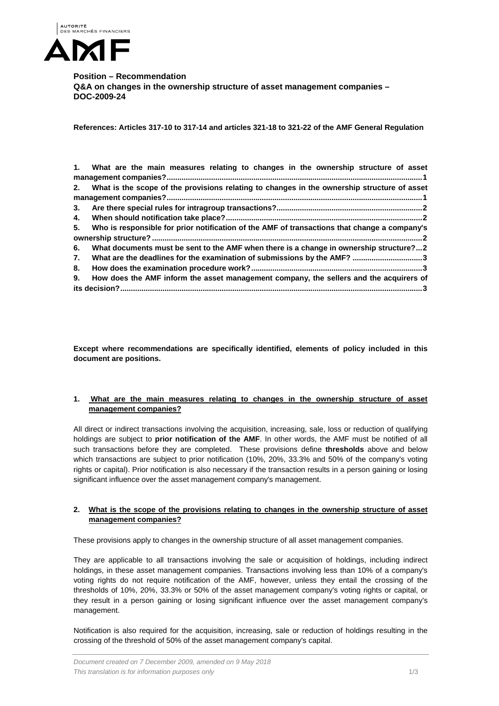

**Position – Recommendation**

**Q&A on changes in the ownership structure of asset management companies – DOC-2009-24**

**References: Articles 317-10 to 317-14 and articles 321-18 to 321-22 of the AMF General Regulation**

|    | 1. What are the main measures relating to changes in the ownership structure of asset          |
|----|------------------------------------------------------------------------------------------------|
|    |                                                                                                |
|    | 2. What is the scope of the provisions relating to changes in the ownership structure of asset |
|    |                                                                                                |
| 3. |                                                                                                |
|    |                                                                                                |
| 5. | Who is responsible for prior notification of the AMF of transactions that change a company's   |
|    |                                                                                                |
| 6. | What documents must be sent to the AMF when there is a change in ownership structure?2         |
| 7. | What are the deadlines for the examination of submissions by the AMF? 3                        |
| 8. |                                                                                                |
| 9. | How does the AMF inform the asset management company, the sellers and the acquirers of         |
|    |                                                                                                |

**Except where recommendations are specifically identified, elements of policy included in this document are positions.**

# <span id="page-0-0"></span>**1. What are the main measures relating to changes in the ownership structure of asset management companies?**

All direct or indirect transactions involving the acquisition, increasing, sale, loss or reduction of qualifying holdings are subject to **prior notification of the AMF**. In other words, the AMF must be notified of all such transactions before they are completed. These provisions define **thresholds** above and below which transactions are subject to prior notification (10%, 20%, 33.3% and 50% of the company's voting rights or capital). Prior notification is also necessary if the transaction results in a person gaining or losing significant influence over the asset management company's management.

# <span id="page-0-1"></span>**2. What is the scope of the provisions relating to changes in the ownership structure of asset management companies?**

These provisions apply to changes in the ownership structure of all asset management companies.

They are applicable to all transactions involving the sale or acquisition of holdings, including indirect holdings, in these asset management companies. Transactions involving less than 10% of a company's voting rights do not require notification of the AMF, however, unless they entail the crossing of the thresholds of 10%, 20%, 33.3% or 50% of the asset management company's voting rights or capital, or they result in a person gaining or losing significant influence over the asset management company's management.

Notification is also required for the acquisition, increasing, sale or reduction of holdings resulting in the crossing of the threshold of 50% of the asset management company's capital.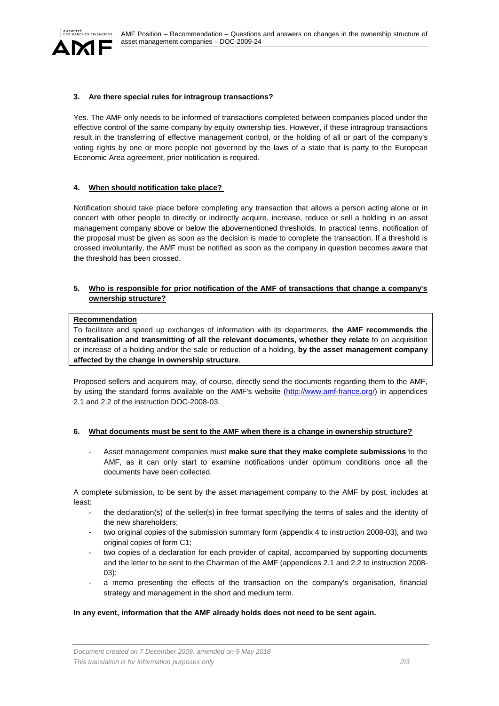

# <span id="page-1-0"></span>**3. Are there special rules for intragroup transactions?**

Yes. The AMF only needs to be informed of transactions completed between companies placed under the effective control of the same company by equity ownership ties. However, if these intragroup transactions result in the transferring of effective management control, or the holding of all or part of the company's voting rights by one or more people not governed by the laws of a state that is party to the European Economic Area agreement, prior notification is required.

### <span id="page-1-1"></span>**4. When should notification take place?**

Notification should take place before completing any transaction that allows a person acting alone or in concert with other people to directly or indirectly acquire, increase, reduce or sell a holding in an asset management company above or below the abovementioned thresholds. In practical terms, notification of the proposal must be given as soon as the decision is made to complete the transaction. If a threshold is crossed involuntarily, the AMF must be notified as soon as the company in question becomes aware that the threshold has been crossed.

# <span id="page-1-2"></span>**5. Who is responsible for prior notification of the AMF of transactions that change a company's ownership structure?**

### **Recommendation**

To facilitate and speed up exchanges of information with its departments, **the AMF recommends the centralisation and transmitting of all the relevant documents, whether they relate** to an acquisition or increase of a holding and/or the sale or reduction of a holding, **by the asset management company affected by the change in ownership structure**.

Proposed sellers and acquirers may, of course, directly send the documents regarding them to the AMF, by using the standard forms available on the AMF's website [\(http://www.amf-france.org/\)](http://www.amf-france.org/) in appendices 2.1 and 2.2 of the instruction DOC-2008-03.

#### <span id="page-1-3"></span>**6. What documents must be sent to the AMF when there is a change in ownership structure?**

- Asset management companies must **make sure that they make complete submissions** to the AMF, as it can only start to examine notifications under optimum conditions once all the documents have been collected.

A complete submission, to be sent by the asset management company to the AMF by post, includes at least:

- the declaration(s) of the seller(s) in free format specifying the terms of sales and the identity of the new shareholders;
- two original copies of the submission summary form (appendix 4 to instruction 2008-03), and two original copies of form C1;
- two copies of a declaration for each provider of capital, accompanied by supporting documents and the letter to be sent to the Chairman of the AMF (appendices 2.1 and 2.2 to instruction 2008- 03);
- a memo presenting the effects of the transaction on the company's organisation, financial strategy and management in the short and medium term.

#### **In any event, information that the AMF already holds does not need to be sent again.**